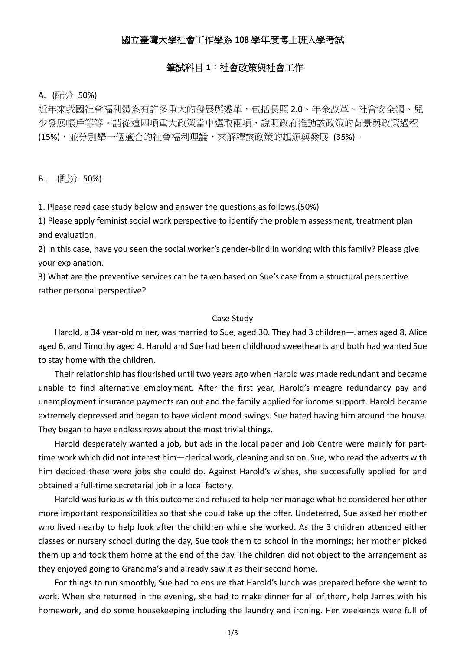# 國立臺灣大學社會工作學系 **108** 學年度博士班入學考試

### 筆試科目 **1**:社會政策與社會工作

#### A. (配分 50%)

近年來我國社會福利體系有許多重大的發展與變革,包括長照 2.0、年金改革、社會安全網、兒 少發展帳戶等等。請從這四項重大政策當中選取兩項,說明政府推動該政策的背景與政策過程 (15%),並分別舉一個適合的社會福利理論,來解釋該政策的起源與發展 (35%)。

B . (配分 50%)

1. Please read case study below and answer the questions as follows.(50%)

1) Please apply feminist social work perspective to identify the problem assessment, treatment plan and evaluation.

2) In this case, have you seen the social worker's gender‐blind in working with this family? Please give your explanation.

3) What are the preventive services can be taken based on Sue's case from a structural perspective rather personal perspective?

#### Case Study

Harold, a 34 year-old miner, was married to Sue, aged 30. They had 3 children—James aged 8, Alice aged 6, and Timothy aged 4. Harold and Sue had been childhood sweethearts and both had wanted Sue to stay home with the children.

Their relationship has flourished until two years ago when Harold was made redundant and became unable to find alternative employment. After the first year, Harold's meagre redundancy pay and unemployment insurance payments ran out and the family applied for income support. Harold became extremely depressed and began to have violent mood swings. Sue hated having him around the house. They began to have endless rows about the most trivial things.

Harold desperately wanted a job, but ads in the local paper and Job Centre were mainly for part‐ time work which did not interest him—clerical work, cleaning and so on. Sue, who read the adverts with him decided these were jobs she could do. Against Harold's wishes, she successfully applied for and obtained a full‐time secretarial job in a local factory.

Harold was furious with this outcome and refused to help her manage what he considered her other more important responsibilities so that she could take up the offer. Undeterred, Sue asked her mother who lived nearby to help look after the children while she worked. As the 3 children attended either classes or nursery school during the day, Sue took them to school in the mornings; her mother picked them up and took them home at the end of the day. The children did not object to the arrangement as they enjoyed going to Grandma's and already saw it as their second home.

For things to run smoothly, Sue had to ensure that Harold's lunch was prepared before she went to work. When she returned in the evening, she had to make dinner for all of them, help James with his homework, and do some housekeeping including the laundry and ironing. Her weekends were full of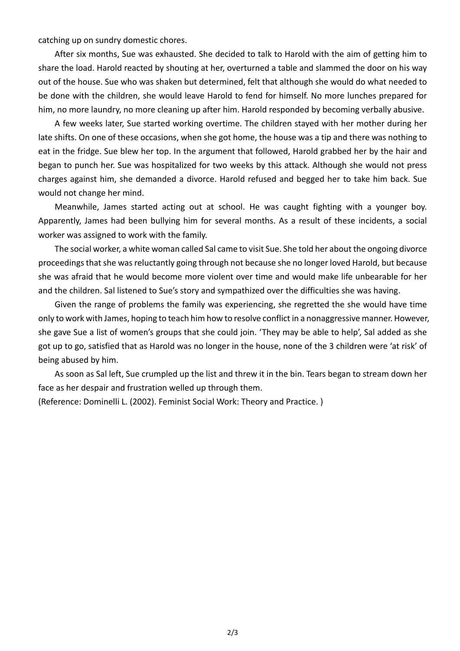catching up on sundry domestic chores.

After six months, Sue was exhausted. She decided to talk to Harold with the aim of getting him to share the load. Harold reacted by shouting at her, overturned a table and slammed the door on his way out of the house. Sue who was shaken but determined, felt that although she would do what needed to be done with the children, she would leave Harold to fend for himself. No more lunches prepared for him, no more laundry, no more cleaning up after him. Harold responded by becoming verbally abusive.

A few weeks later, Sue started working overtime. The children stayed with her mother during her late shifts. On one of these occasions, when she got home, the house was a tip and there was nothing to eat in the fridge. Sue blew her top. In the argument that followed, Harold grabbed her by the hair and began to punch her. Sue was hospitalized for two weeks by this attack. Although she would not press charges against him, she demanded a divorce. Harold refused and begged her to take him back. Sue would not change her mind.

Meanwhile, James started acting out at school. He was caught fighting with a younger boy. Apparently, James had been bullying him for several months. As a result of these incidents, a social worker was assigned to work with the family.

The social worker, a white woman called Sal came to visit Sue. She told her about the ongoing divorce proceedings that she was reluctantly going through not because she no longer loved Harold, but because she was afraid that he would become more violent over time and would make life unbearable for her and the children. Sal listened to Sue's story and sympathized over the difficulties she was having.

Given the range of problems the family was experiencing, she regretted the she would have time only to work with James, hoping to teach him how to resolve conflict in a nonaggressive manner. However, she gave Sue a list of women's groups that she could join. 'They may be able to help', Sal added as she got up to go, satisfied that as Harold was no longer in the house, none of the 3 children were 'at risk' of being abused by him.

As soon as Sal left, Sue crumpled up the list and threw it in the bin. Tears began to stream down her face as her despair and frustration welled up through them.

(Reference: Dominelli L. (2002). Feminist Social Work: Theory and Practice. )